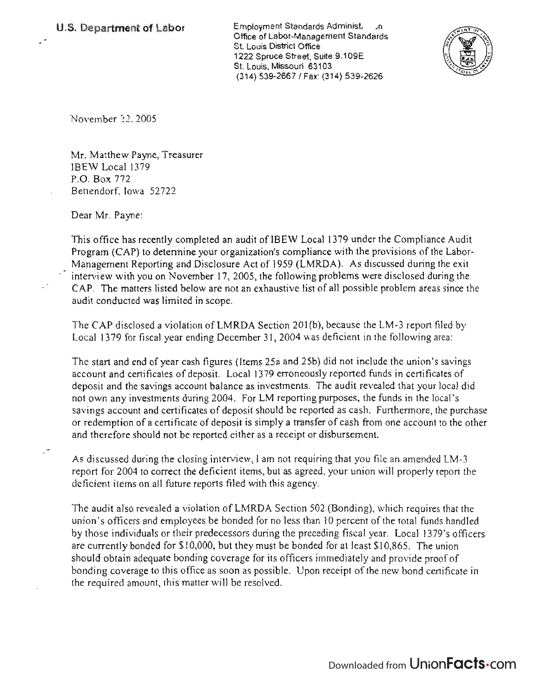Employment Standards Administ. Jn Office of Labor-Management Standards St. Louis District Office 1222 Spruce Street, Suite 9.1 09E St. Louis, Missouri 63103 (314) *539-26671* Fax: (314) 539-2626



November 22, 2005

Mr. Matthew Payne, Treasurer IBEW Local 1379 P.O. Box 772 Bettendorf, Iowa 52722

Dear Mr. Payne:

This office has recently completed an audit of IBEW Local 1379 under the Compliance Audit Program (CAP) to detennine your organization's compliance with the provisions of the Labor-Management Reporting and Disclosure Act of 1959 (LMRDA). As discussed during the exit interview with you on November 17,2005, the following problems were disclosed during the CAP. The matters listed below are not an exhaustive list of all possible problem areas since the audit conducted was limited in scope.

The CAP disclosed a violation of LMRDA Section 201(b), because the LM-3 report filed by Local 1379 for fiscal year ending December 31, 2004 was deficient in the following area:

The start and end of year cash figures (Items 25a and 25b) did not include the union's savings account and certificates of deposit. Local 1379 erroneously reported funds in certificates of deposit and the savings account balance as investments. The audit revealed that your local did not own any investments during 2004. For LM reporting purposes, the funds in the local's savings account and certificates of deposit should be reported as cash. Furthermore, the purchase or redemption of a certificate of deposit is simply a transfer of cash from one account to the other and therefore should not be reported either as a receipt or disbursement.

As discussed during the closing interview, I am not requiring that you file an amended LM-3 report for 2004 to correct the deficient items, but as agreed, your union will properly report the deficient items on all future reports filed with this agency.

The audit also revealed a violation of LMRDA Section 502 (Bonding), which requires that the union's officers and employees be bonded for no less than 10 percent of the total funds handled by those individuals or their predecessors during the preceding fiscal year. Local 1379's officers are currently bonded for \$10,000, but they must be bonded for at least \$10,865. The union should obtain adequate bonding coverage for its officers immediately and provide proof of bonding coverage to this office as soon as possible. Upon receipt of the new bond certificate in the required amount, this matter will be resolved.